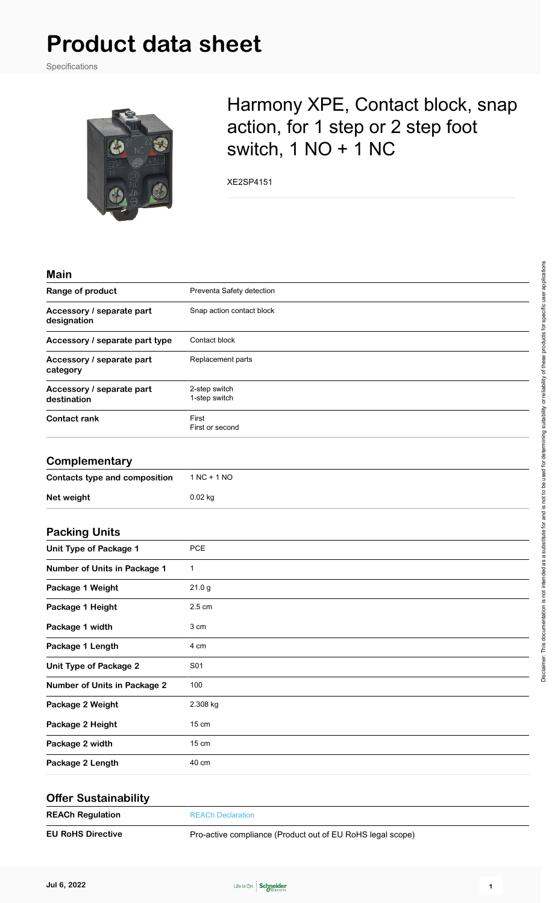## **Product data sheet**

Specifications



## Harmony XPE, Contact block, snap action, for 1 step or 2 step foot switch, 1 NO + 1 NC

XE2SP4151

| <b>Main</b>                              |                                |
|------------------------------------------|--------------------------------|
| Range of product                         | Preventa Safety detection      |
| Accessory / separate part<br>designation | Snap action contact block      |
| Accessory / separate part type           | Contact block                  |
| Accessory / separate part<br>category    | Replacement parts              |
| Accessory / separate part<br>destination | 2-step switch<br>1-step switch |
| <b>Contact rank</b>                      | First<br>First or second       |
| Complementary                            |                                |
| <b>Contacts type and composition</b>     | $1 NC + 1 NO$                  |
| Net weight                               | 0.02 kg                        |
| <b>Packing Units</b>                     |                                |
| <b>Unit Type of Package 1</b>            | <b>PCE</b>                     |
| Number of Units in Package 1             | $\mathbf{1}$                   |
| Package 1 Weight                         | 21.0 <sub>g</sub>              |
| Package 1 Height                         | 2.5 cm                         |
| Package 1 width                          | 3 cm                           |
| Package 1 Length                         | 4 cm                           |
| <b>Unit Type of Package 2</b>            | S01                            |
| <b>Number of Units in Package 2</b>      | 100                            |
| Package 2 Weight                         | 2.308 kg                       |
| Package 2 Height                         | 15 cm                          |
| Package 2 width                          | 15 cm                          |
| Package 2 Length                         | 40 cm                          |
| <b>Offer Sustainability</b>              |                                |
| <b>REACh Regulation</b>                  | <b>REACh Declaration</b>       |



**EU RoHS Directive Pro-active compliance (Product out of EU RoHS legal scope)**